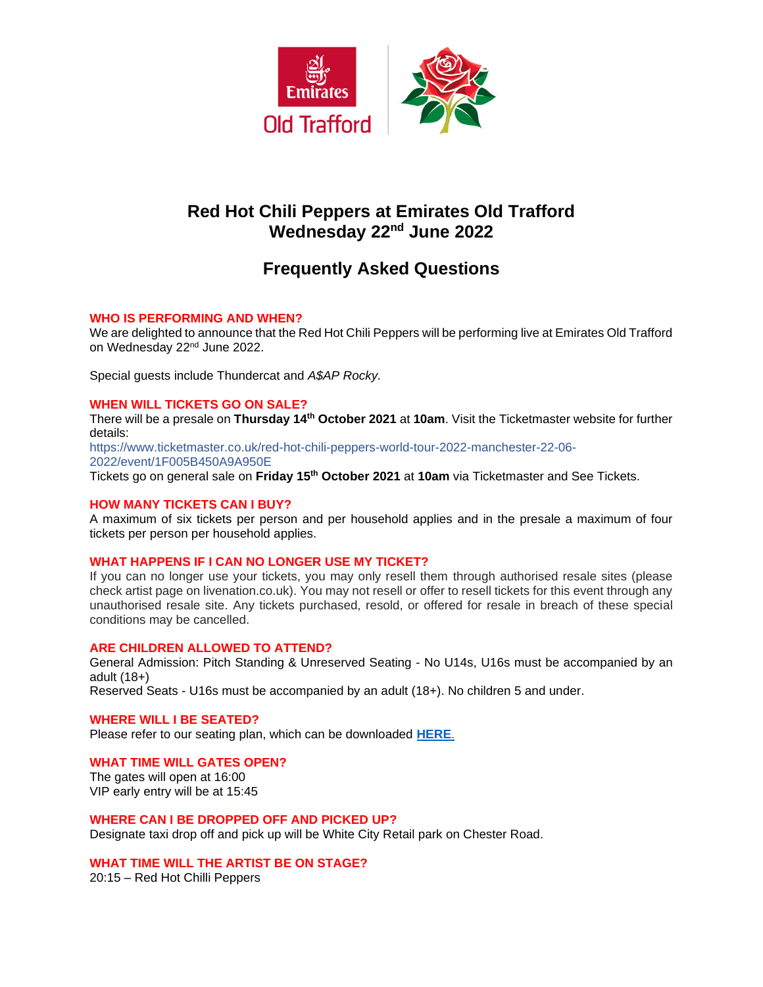

# **Red Hot Chili Peppers at Emirates Old Trafford Wednesday 22nd June 2022**

# **Frequently Asked Questions**

# **WHO IS PERFORMING AND WHEN?**

We are delighted to announce that the Red Hot Chili Peppers will be performing live at Emirates Old Trafford on Wednesday 22nd June 2022.

Special guests include Thundercat and *A\$AP Rocky.*

## **WHEN WILL TICKETS GO ON SALE?**

There will be a presale on **Thursday 14th October 2021** at **10am**. Visit the Ticketmaster website for further details:

https://www.ticketmaster.co.uk/red-hot-chili-peppers-world-tour-2022-manchester-22-06- 2022/event/1F005B450A9A950E

Tickets go on general sale on **Friday 15th October 2021** at **10am** via Ticketmaster and See Tickets.

#### **HOW MANY TICKETS CAN I BUY?**

A maximum of six tickets per person and per household applies and in the presale a maximum of four tickets per person per household applies.

#### **WHAT HAPPENS IF I CAN NO LONGER USE MY TICKET?**

If you can no longer use your tickets, you may only resell them through authorised resale sites (please check artist page on livenation.co.uk). You may not resell or offer to resell tickets for this event through any unauthorised resale site. Any tickets purchased, resold, or offered for resale in breach of these special conditions may be cancelled.

#### **ARE CHILDREN ALLOWED TO ATTEND?**

General Admission: Pitch Standing & Unreserved Seating - No U14s, U16s must be accompanied by an adult (18+)

Reserved Seats - U16s must be accompanied by an adult (18+). No children 5 and under.

# **WHERE WILL I BE SEATED?**

Please refer to our seating plan, which can be downloaded **[HERE](https://www.lancashirecricket.co.uk/media/19339/rhcp-stadium-map-v2.gif)**.

#### **WHAT TIME WILL GATES OPEN?**

The gates will open at 16:00 VIP early entry will be at 15:45

#### **WHERE CAN I BE DROPPED OFF AND PICKED UP?**

Designate taxi drop off and pick up will be White City Retail park on Chester Road.

# **WHAT TIME WILL THE ARTIST BE ON STAGE?**

20:15 – Red Hot Chilli Peppers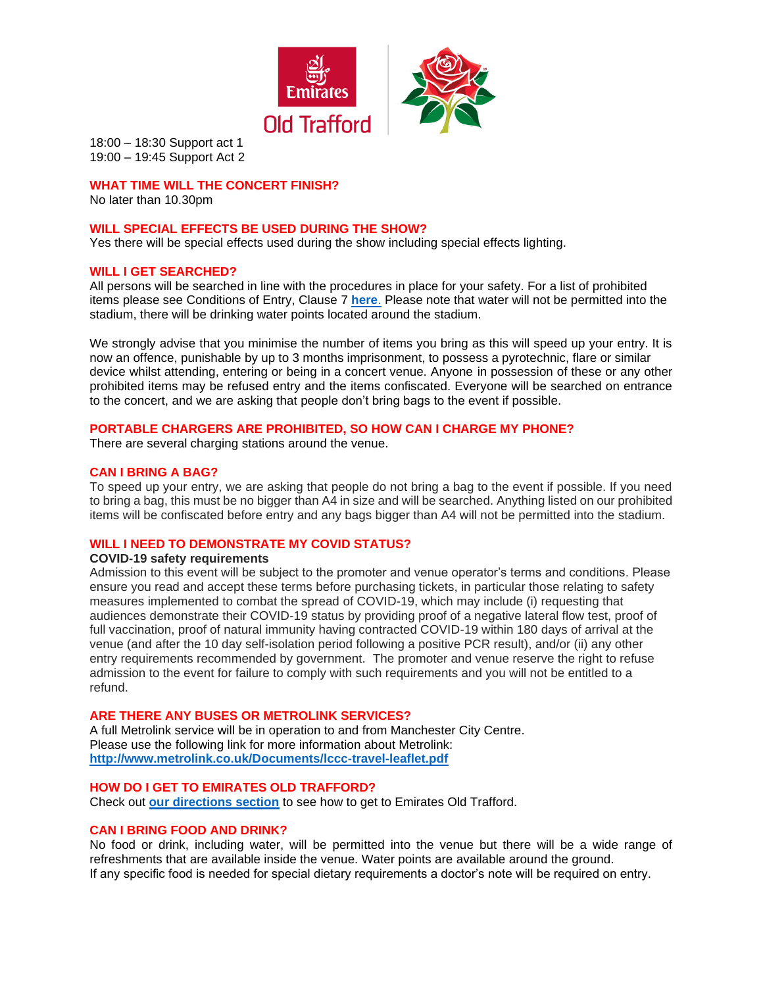

18:00 – 18:30 Support act 1 19:00 – 19:45 Support Act 2

# **WHAT TIME WILL THE CONCERT FINISH?**

No later than 10.30pm

#### **WILL SPECIAL EFFECTS BE USED DURING THE SHOW?**

Yes there will be special effects used during the show including special effects lighting.

#### **WILL I GET SEARCHED?**

All persons will be searched in line with the procedures in place for your safety. For a list of prohibited items please see Conditions of Entry, Clause 7 **[here](https://cricket.lancashirecricket.co.uk/media/17097/full-ticket-terms-and-conditions-and-conditions-of-entry-2021-v3.pdf)**. Please note that water will not be permitted into the stadium, there will be drinking water points located around the stadium.

We strongly advise that you minimise the number of items you bring as this will speed up your entry. It is now an offence, punishable by up to 3 months imprisonment, to possess a pyrotechnic, flare or similar device whilst attending, entering or being in a concert venue. Anyone in possession of these or any other prohibited items may be refused entry and the items confiscated. Everyone will be searched on entrance to the concert, and we are asking that people don't bring bags to the event if possible.

#### **PORTABLE CHARGERS ARE PROHIBITED, SO HOW CAN I CHARGE MY PHONE?**

There are several charging stations around the venue.

#### **CAN I BRING A BAG?**

To speed up your entry, we are asking that people do not bring a bag to the event if possible. If you need to bring a bag, this must be no bigger than A4 in size and will be searched. Anything listed on our prohibited items will be confiscated before entry and any bags bigger than A4 will not be permitted into the stadium.

# **WILL I NEED TO DEMONSTRATE MY COVID STATUS?**

#### **COVID-19 safety requirements**

Admission to this event will be subject to the promoter and venue operator's terms and conditions. Please ensure you read and accept these terms before purchasing tickets, in particular those relating to safety measures implemented to combat the spread of COVID-19, which may include (i) requesting that audiences demonstrate their COVID-19 status by providing proof of a negative lateral flow test, proof of full vaccination, proof of natural immunity having contracted COVID-19 within 180 days of arrival at the venue (and after the 10 day self-isolation period following a positive PCR result), and/or (ii) any other entry requirements recommended by government. The promoter and venue reserve the right to refuse admission to the event for failure to comply with such requirements and you will not be entitled to a refund.

## **ARE THERE ANY BUSES OR METROLINK SERVICES?**

A full Metrolink service will be in operation to and from Manchester City Centre. Please use the following link for more information about Metrolink: **<http://www.metrolink.co.uk/Documents/lccc-travel-leaflet.pdf>**

#### **HOW DO I GET TO EMIRATES OLD TRAFFORD?**

Check out **[our directions section](http://cricket.lancashirecricket.co.uk/media/7221/lc_how_to_find_us.pdf)** to see how to get to Emirates Old Trafford.

#### **CAN I BRING FOOD AND DRINK?**

No food or drink, including water, will be permitted into the venue but there will be a wide range of refreshments that are available inside the venue. Water points are available around the ground. If any specific food is needed for special dietary requirements a doctor's note will be required on entry.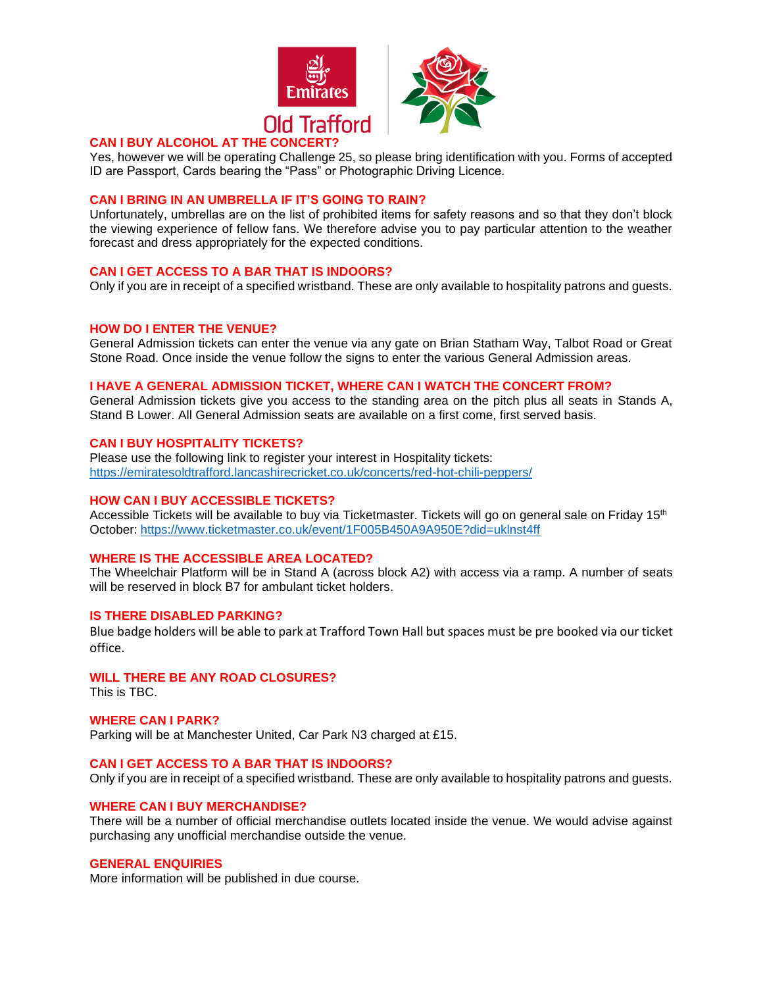



# **CAN I BUY ALCOHOL AT THE CONCEI**

Yes, however we will be operating Challenge 25, so please bring identification with you. Forms of accepted ID are Passport, Cards bearing the "Pass" or Photographic Driving Licence.

#### **CAN I BRING IN AN UMBRELLA IF IT'S GOING TO RAIN?**

Unfortunately, umbrellas are on the list of prohibited items for safety reasons and so that they don't block the viewing experience of fellow fans. We therefore advise you to pay particular attention to the weather forecast and dress appropriately for the expected conditions.

## **CAN I GET ACCESS TO A BAR THAT IS INDOORS?**

Only if you are in receipt of a specified wristband. These are only available to hospitality patrons and guests.

#### **HOW DO I ENTER THE VENUE?**

General Admission tickets can enter the venue via any gate on Brian Statham Way, Talbot Road or Great Stone Road. Once inside the venue follow the signs to enter the various General Admission areas.

## **I HAVE A GENERAL ADMISSION TICKET, WHERE CAN I WATCH THE CONCERT FROM?**

General Admission tickets give you access to the standing area on the pitch plus all seats in Stands A, Stand B Lower. All General Admission seats are available on a first come, first served basis.

## **CAN I BUY HOSPITALITY TICKETS?**

Please use the following link to register your interest in Hospitality tickets: <https://emiratesoldtrafford.lancashirecricket.co.uk/concerts/red-hot-chili-peppers/>

#### **HOW CAN I BUY ACCESSIBLE TICKETS?**

Accessible Tickets will be available to buy via Ticketmaster. Tickets will go on general sale on Friday 15<sup>th</sup> October: <https://www.ticketmaster.co.uk/event/1F005B450A9A950E?did=uklnst4ff>

# **WHERE IS THE ACCESSIBLE AREA LOCATED?**

The Wheelchair Platform will be in Stand A (across block A2) with access via a ramp. A number of seats will be reserved in block B7 for ambulant ticket holders.

#### **IS THERE DISABLED PARKING?**

Blue badge holders will be able to park at Trafford Town Hall but spaces must be pre booked via our ticket office.

# **WILL THERE BE ANY ROAD CLOSURES?**

This is TBC.

# **WHERE CAN I PARK?**

Parking will be at Manchester United, Car Park N3 charged at £15.

#### **CAN I GET ACCESS TO A BAR THAT IS INDOORS?**

Only if you are in receipt of a specified wristband. These are only available to hospitality patrons and guests.

#### **WHERE CAN I BUY MERCHANDISE?**

There will be a number of official merchandise outlets located inside the venue. We would advise against purchasing any unofficial merchandise outside the venue.

#### **GENERAL ENQUIRIES**

More information will be published in due course.